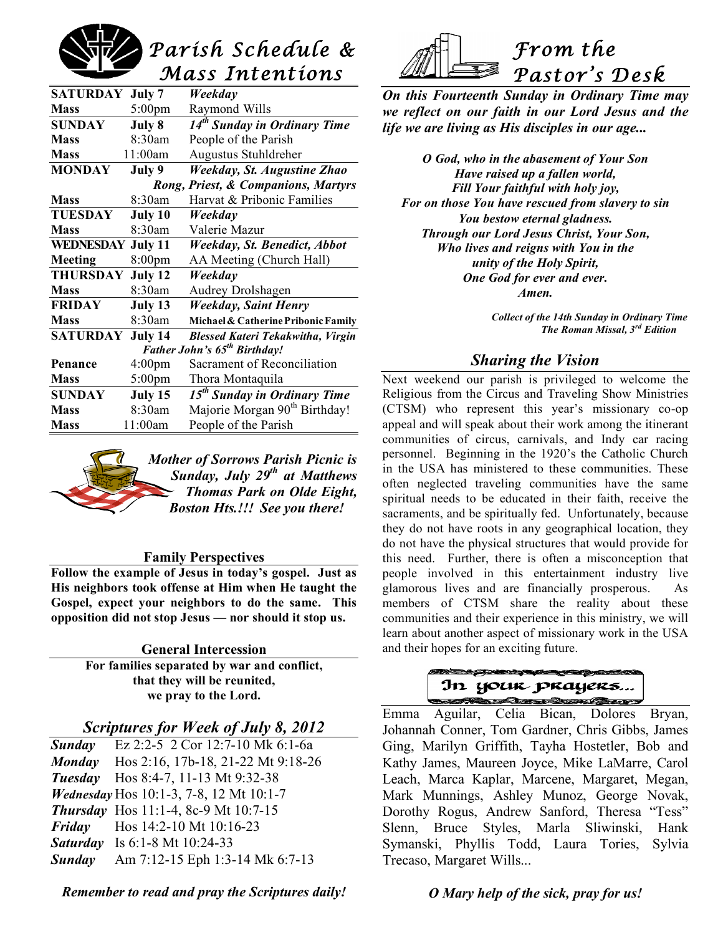

| SATURDAY                                 | July 7             | Weekday                                   |
|------------------------------------------|--------------------|-------------------------------------------|
| <b>Mass</b>                              | $5:00 \text{pm}$   | Raymond Wills                             |
| <b>SUNDAY</b>                            | July 8             | 14 <sup>th</sup> Sunday in Ordinary Time  |
| <b>Mass</b>                              | 8:30am             | People of the Parish                      |
| <b>Mass</b>                              | 11:00am            | Augustus Stuhldreher                      |
| <b>MONDAY</b>                            | July 9             | Weekday, St. Augustine Zhao               |
| Rong, Priest, & Companions, Martyrs      |                    |                                           |
| <b>Mass</b>                              | 8:30am             | Harvat & Pribonic Families                |
| <b>TUESDAY</b>                           | July 10            | Weekday                                   |
| <b>Mass</b>                              | 8:30am             | Valerie Mazur                             |
| WEDNESDAY                                | July 11            | Weekday, St. Benedict, Abbot              |
| Meeting                                  | 8:00 <sub>pm</sub> | AA Meeting (Church Hall)                  |
| <b>THURSDAY</b>                          | July 12            | Weekday                                   |
| <b>Mass</b>                              | 8:30am             | <b>Audrey Drolshagen</b>                  |
| <b>FRIDAY</b>                            | July 13            | Weekday, Saint Henry                      |
| <b>Mass</b>                              | 8:30am             | Michael & Catherine Pribonic Family       |
| SATURDAY                                 | July 14            | <b>Blessed Kateri Tekakwitha, Virgin</b>  |
| Father John's 65 <sup>th</sup> Birthday! |                    |                                           |
| Penance                                  | 4:00 <sub>pm</sub> | Sacrament of Reconciliation               |
| <b>Mass</b>                              | $5:00 \text{pm}$   | Thora Montaquila                          |
| <b>SUNDAY</b>                            | July 15            | 15 <sup>th</sup> Sunday in Ordinary Time  |
| <b>Mass</b>                              | 8:30am             | Majorie Morgan 90 <sup>th</sup> Birthday! |
| <b>Mass</b>                              | 11:00am            | People of the Parish                      |



#### **Family Perspectives**

**Follow the example of Jesus in today's gospel. Just as His neighbors took offense at Him when He taught the Gospel, expect your neighbors to do the same. This opposition did not stop Jesus — nor should it stop us.**

> **General Intercession For families separated by war and conflict, that they will be reunited, we pray to the Lord.**

## *Scriptures for Week of July 8, 2012*

*Sunday* Ez 2:2-5 2 Cor 12:7-10 Mk 6:1-6a *Monday* Hos 2:16, 17b-18, 21-22 Mt 9:18-26 *Tuesday* Hos 8:4-7, 11-13 Mt 9:32-38 *Wednesday* Hos 10:1-3, 7-8, 12 Mt 10:1-7 *Thursday* Hos 11:1-4, 8c-9 Mt 10:7-15 *Friday* Hos 14:2-10 Mt 10:16-23 *Saturday* Is 6:1-8 Mt 10:24-33 *Sunday* Am 7:12-15 Eph 1:3-14 Mk 6:7-13



*unity of the Holy Spirit, One God for ever and ever.*

*From the*

*On this Fourteenth Sunday in Ordinary Time may we reflect on our faith in our Lord Jesus and the*

*O God, who in the abasement of Your Son Have raised up a fallen world, Fill Your faithful with holy joy, For on those You have rescued from slavery to sin*

*life we are living as His disciples in our age...*

*Pastor's Desk* 

*Amen.*

*Collect of the 14th Sunday in Ordinary Time The Roman Missal, 3rd Edition*

# *Sharing the Vision*

Next weekend our parish is privileged to welcome the Religious from the Circus and Traveling Show Ministries (CTSM) who represent this year's missionary co-op appeal and will speak about their work among the itinerant communities of circus, carnivals, and Indy car racing personnel. Beginning in the 1920's the Catholic Church in the USA has ministered to these communities. These often neglected traveling communities have the same spiritual needs to be educated in their faith, receive the sacraments, and be spiritually fed. Unfortunately, because they do not have roots in any geographical location, they do not have the physical structures that would provide for this need. Further, there is often a misconception that people involved in this entertainment industry live glamorous lives and are financially prosperous. As members of CTSM share the reality about these communities and their experience in this ministry, we will learn about another aspect of missionary work in the USA and their hopes for an exciting future.



 Emma Aguilar, Celia Bican, Dolores Bryan, Johannah Conner, Tom Gardner, Chris Gibbs, James Ging, Marilyn Griffith, Tayha Hostetler, Bob and Kathy James, Maureen Joyce, Mike LaMarre, Carol Leach, Marca Kaplar, Marcene, Margaret, Megan, Mark Munnings, Ashley Munoz, George Novak, Dorothy Rogus, Andrew Sanford, Theresa "Tess" Slenn, Bruce Styles, Marla Sliwinski, Hank Symanski, Phyllis Todd, Laura Tories, Sylvia Trecaso, Margaret Wills...

*Remember to read and pray the Scriptures daily!*

*O Mary help of the sick, pray for us!*